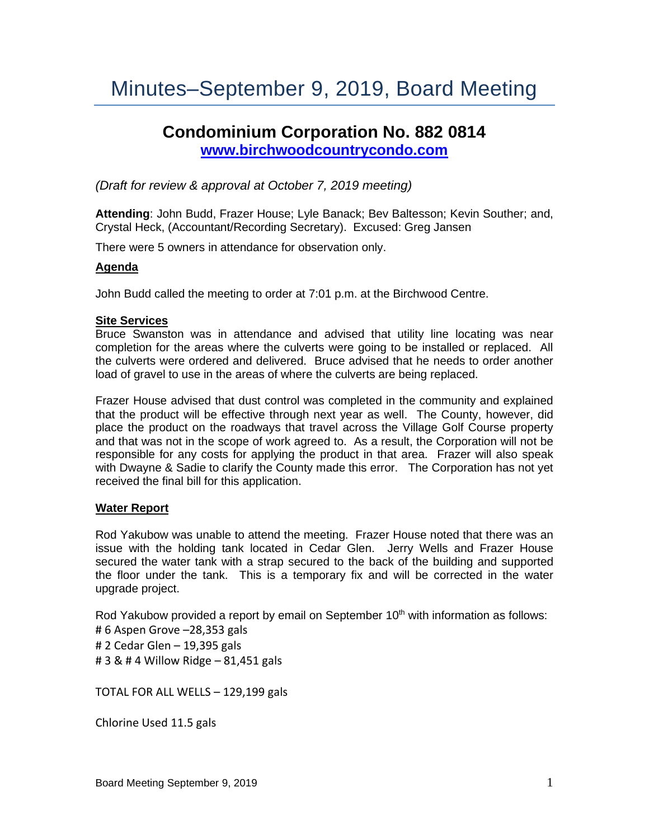# Minutes–September 9, 2019, Board Meeting

## **Condominium Corporation No. 882 0814 [www.birchwoodcountrycondo.com](http://www.birchwoodcountrycondo.com/)**

*(Draft for review & approval at October 7, 2019 meeting)*

**Attending**: John Budd, Frazer House; Lyle Banack; Bev Baltesson; Kevin Souther; and, Crystal Heck, (Accountant/Recording Secretary). Excused: Greg Jansen

There were 5 owners in attendance for observation only.

#### **Agenda**

John Budd called the meeting to order at 7:01 p.m. at the Birchwood Centre.

#### **Site Services**

Bruce Swanston was in attendance and advised that utility line locating was near completion for the areas where the culverts were going to be installed or replaced. All the culverts were ordered and delivered. Bruce advised that he needs to order another load of gravel to use in the areas of where the culverts are being replaced.

Frazer House advised that dust control was completed in the community and explained that the product will be effective through next year as well. The County, however, did place the product on the roadways that travel across the Village Golf Course property and that was not in the scope of work agreed to. As a result, the Corporation will not be responsible for any costs for applying the product in that area. Frazer will also speak with Dwayne & Sadie to clarify the County made this error. The Corporation has not yet received the final bill for this application.

#### **Water Report**

Rod Yakubow was unable to attend the meeting. Frazer House noted that there was an issue with the holding tank located in Cedar Glen. Jerry Wells and Frazer House secured the water tank with a strap secured to the back of the building and supported the floor under the tank. This is a temporary fix and will be corrected in the water upgrade project.

Rod Yakubow provided a report by email on September 10<sup>th</sup> with information as follows:

- # 6 Aspen Grove –28,353 gals
- # 2 Cedar Glen 19,395 gals

# 3 & # 4 Willow Ridge – 81,451 gals

TOTAL FOR ALL WELLS – 129,199 gals

Chlorine Used 11.5 gals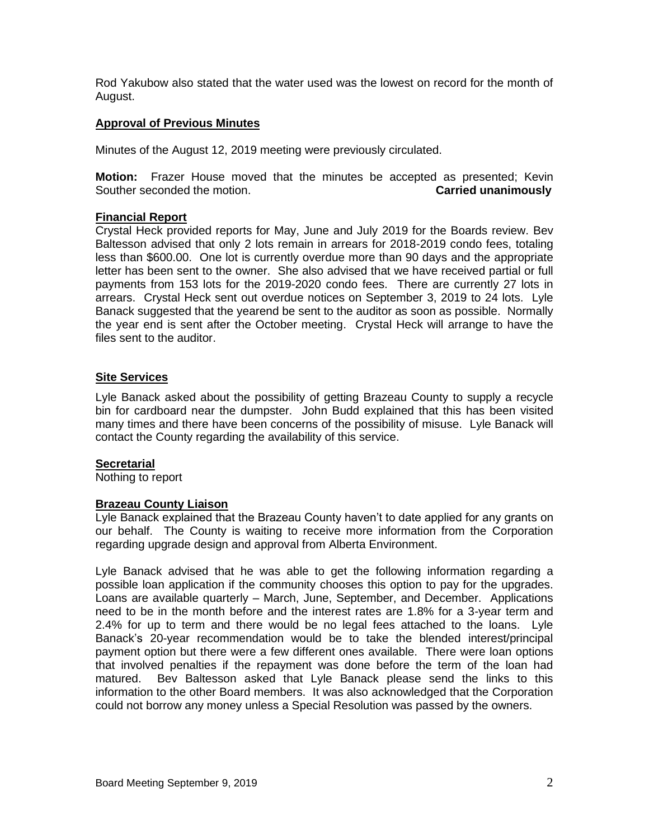Rod Yakubow also stated that the water used was the lowest on record for the month of August.

## **Approval of Previous Minutes**

Minutes of the August 12, 2019 meeting were previously circulated.

**Motion:** Frazer House moved that the minutes be accepted as presented; Kevin Souther seconded the motion. **Carried unanimously**

## **Financial Report**

Crystal Heck provided reports for May, June and July 2019 for the Boards review. Bev Baltesson advised that only 2 lots remain in arrears for 2018-2019 condo fees, totaling less than \$600.00. One lot is currently overdue more than 90 days and the appropriate letter has been sent to the owner. She also advised that we have received partial or full payments from 153 lots for the 2019-2020 condo fees. There are currently 27 lots in arrears. Crystal Heck sent out overdue notices on September 3, 2019 to 24 lots. Lyle Banack suggested that the yearend be sent to the auditor as soon as possible. Normally the year end is sent after the October meeting. Crystal Heck will arrange to have the files sent to the auditor.

## **Site Services**

Lyle Banack asked about the possibility of getting Brazeau County to supply a recycle bin for cardboard near the dumpster. John Budd explained that this has been visited many times and there have been concerns of the possibility of misuse. Lyle Banack will contact the County regarding the availability of this service.

#### **Secretarial**

Nothing to report

## **Brazeau County Liaison**

Lyle Banack explained that the Brazeau County haven't to date applied for any grants on our behalf. The County is waiting to receive more information from the Corporation regarding upgrade design and approval from Alberta Environment.

Lyle Banack advised that he was able to get the following information regarding a possible loan application if the community chooses this option to pay for the upgrades. Loans are available quarterly – March, June, September, and December. Applications need to be in the month before and the interest rates are 1.8% for a 3-year term and 2.4% for up to term and there would be no legal fees attached to the loans. Lyle Banack's 20-year recommendation would be to take the blended interest/principal payment option but there were a few different ones available. There were loan options that involved penalties if the repayment was done before the term of the loan had matured. Bev Baltesson asked that Lyle Banack please send the links to this information to the other Board members. It was also acknowledged that the Corporation could not borrow any money unless a Special Resolution was passed by the owners.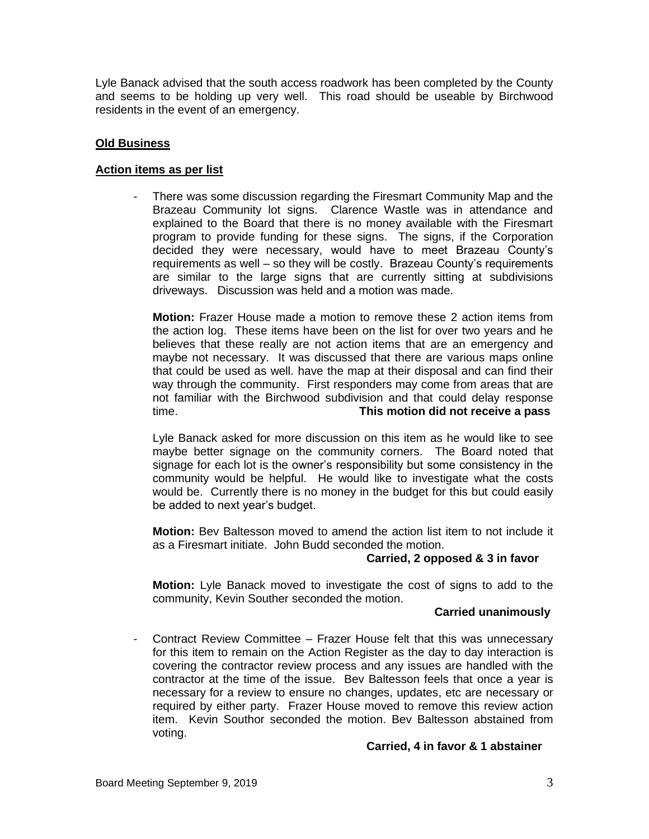Lyle Banack advised that the south access roadwork has been completed by the County and seems to be holding up very well. This road should be useable by Birchwood residents in the event of an emergency.

## **Old Business**

## **Action items as per list**

There was some discussion regarding the Firesmart Community Map and the Brazeau Community lot signs. Clarence Wastle was in attendance and explained to the Board that there is no money available with the Firesmart program to provide funding for these signs. The signs, if the Corporation decided they were necessary, would have to meet Brazeau County's requirements as well – so they will be costly. Brazeau County's requirements are similar to the large signs that are currently sitting at subdivisions driveways. Discussion was held and a motion was made.

**Motion:** Frazer House made a motion to remove these 2 action items from the action log. These items have been on the list for over two years and he believes that these really are not action items that are an emergency and maybe not necessary. It was discussed that there are various maps online that could be used as well. have the map at their disposal and can find their way through the community. First responders may come from areas that are not familiar with the Birchwood subdivision and that could delay response time. **This motion did not receive a pass**

Lyle Banack asked for more discussion on this item as he would like to see maybe better signage on the community corners. The Board noted that signage for each lot is the owner's responsibility but some consistency in the community would be helpful. He would like to investigate what the costs would be. Currently there is no money in the budget for this but could easily be added to next year's budget.

**Motion:** Bev Baltesson moved to amend the action list item to not include it as a Firesmart initiate. John Budd seconded the motion.

## **Carried, 2 opposed & 3 in favor**

**Motion:** Lyle Banack moved to investigate the cost of signs to add to the community, Kevin Souther seconded the motion.

## **Carried unanimously**

- Contract Review Committee – Frazer House felt that this was unnecessary for this item to remain on the Action Register as the day to day interaction is covering the contractor review process and any issues are handled with the contractor at the time of the issue. Bev Baltesson feels that once a year is necessary for a review to ensure no changes, updates, etc are necessary or required by either party. Frazer House moved to remove this review action item. Kevin Southor seconded the motion. Bev Baltesson abstained from voting.

## **Carried, 4 in favor & 1 abstainer**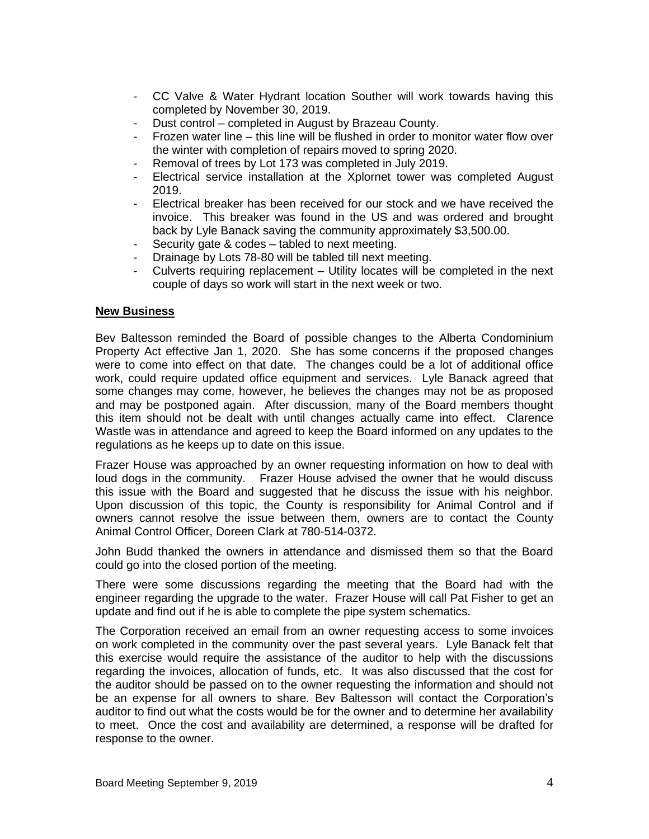- CC Valve & Water Hydrant location Souther will work towards having this completed by November 30, 2019.
- Dust control completed in August by Brazeau County.
- Frozen water line this line will be flushed in order to monitor water flow over the winter with completion of repairs moved to spring 2020.
- Removal of trees by Lot 173 was completed in July 2019.
- Electrical service installation at the Xplornet tower was completed August 2019.
- Electrical breaker has been received for our stock and we have received the invoice. This breaker was found in the US and was ordered and brought back by Lyle Banack saving the community approximately \$3,500.00.
- Security gate  $& codes$  tabled to next meeting.
- Drainage by Lots 78-80 will be tabled till next meeting.
- Culverts requiring replacement Utility locates will be completed in the next couple of days so work will start in the next week or two.

## **New Business**

Bev Baltesson reminded the Board of possible changes to the Alberta Condominium Property Act effective Jan 1, 2020. She has some concerns if the proposed changes were to come into effect on that date. The changes could be a lot of additional office work, could require updated office equipment and services. Lyle Banack agreed that some changes may come, however, he believes the changes may not be as proposed and may be postponed again. After discussion, many of the Board members thought this item should not be dealt with until changes actually came into effect. Clarence Wastle was in attendance and agreed to keep the Board informed on any updates to the regulations as he keeps up to date on this issue.

Frazer House was approached by an owner requesting information on how to deal with loud dogs in the community. Frazer House advised the owner that he would discuss this issue with the Board and suggested that he discuss the issue with his neighbor. Upon discussion of this topic, the County is responsibility for Animal Control and if owners cannot resolve the issue between them, owners are to contact the County Animal Control Officer, Doreen Clark at 780-514-0372.

John Budd thanked the owners in attendance and dismissed them so that the Board could go into the closed portion of the meeting.

There were some discussions regarding the meeting that the Board had with the engineer regarding the upgrade to the water. Frazer House will call Pat Fisher to get an update and find out if he is able to complete the pipe system schematics.

The Corporation received an email from an owner requesting access to some invoices on work completed in the community over the past several years. Lyle Banack felt that this exercise would require the assistance of the auditor to help with the discussions regarding the invoices, allocation of funds, etc. It was also discussed that the cost for the auditor should be passed on to the owner requesting the information and should not be an expense for all owners to share. Bev Baltesson will contact the Corporation's auditor to find out what the costs would be for the owner and to determine her availability to meet. Once the cost and availability are determined, a response will be drafted for response to the owner.